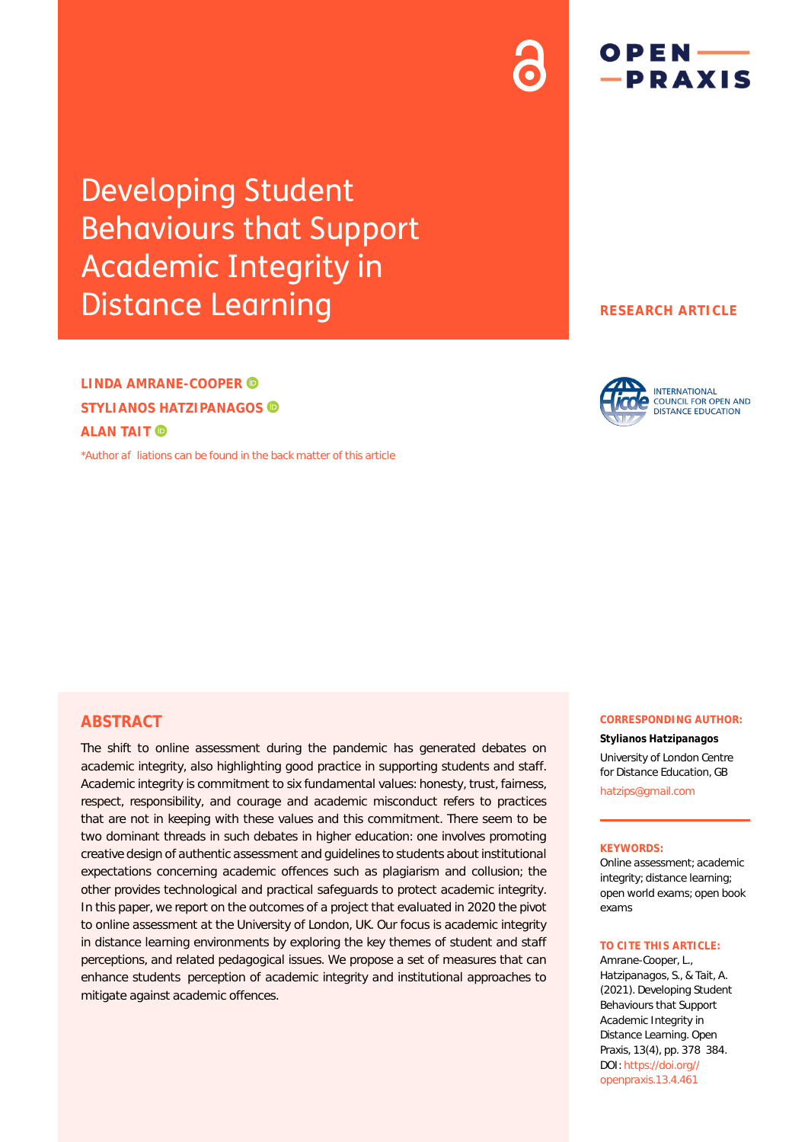# Developing Student Behaviours that Support Academic Integrity in Distance Learning

**LINDA AMRANE-COOPER STYLIANOS HATZIPANAGOS ALAN TAIT** 

[\\*Author afliations can be found in the back matter of this article](#page-6-0)

## **RESEARCH ARTICLE**

 $OPEN$   $\longrightarrow$ -PRAXIS



## **ABSTRACT**

The shift to online assessment during the pandemic has generated debates on academic integrity, also highlighting good practice in supporting students and staff. Academic integrity is commitment to six fundamental values: honesty, trust, fairness, respect, responsibility, and courage and academic misconduct refers to practices that are not in keeping with these values and this commitment. There seem to be two dominant threads in such debates in higher education: one involves promoting creative design of authentic assessment and guidelines to students about institutional expectations concerning academic offences such as plagiarism and collusion; the other provides technological and practical safeguards to protect academic integrity. In this paper, we report on the outcomes of a project that evaluated in 2020 the pivot to online assessment at the University of London, UK. Our focus is academic integrity in distance learning environments by exploring the key themes of student and staff perceptions, and related pedagogical issues. We propose a set of measures that can enhance students perception of academic integrity and institutional approaches to mitigate against academic offences.

#### **CORRESPONDING AUTHOR:**

**Stylianos Hatzipanagos** University of London Centre for Distance Education, GB [hatzips@gmail.com](mailto:hatzips@gmail.com)

#### **KEYWORDS:**

Online assessment; academic integrity; distance learning; open world exams; open book exams

#### **TO CITE THIS ARTICLE:**

Amrane-Cooper, L., Hatzipanagos, S., & Tait, A. (2021). Developing Student Behaviours that Support Academic Integrity in Distance Learning. *Open Praxis*, *13*(4), pp. 378384. DOI: [https://doi.org//](https://doi.org/10.51944/openpraxis.13.4.461) [openpraxis.13.4.461](https://doi.org/10.51944/openpraxis.13.4.461)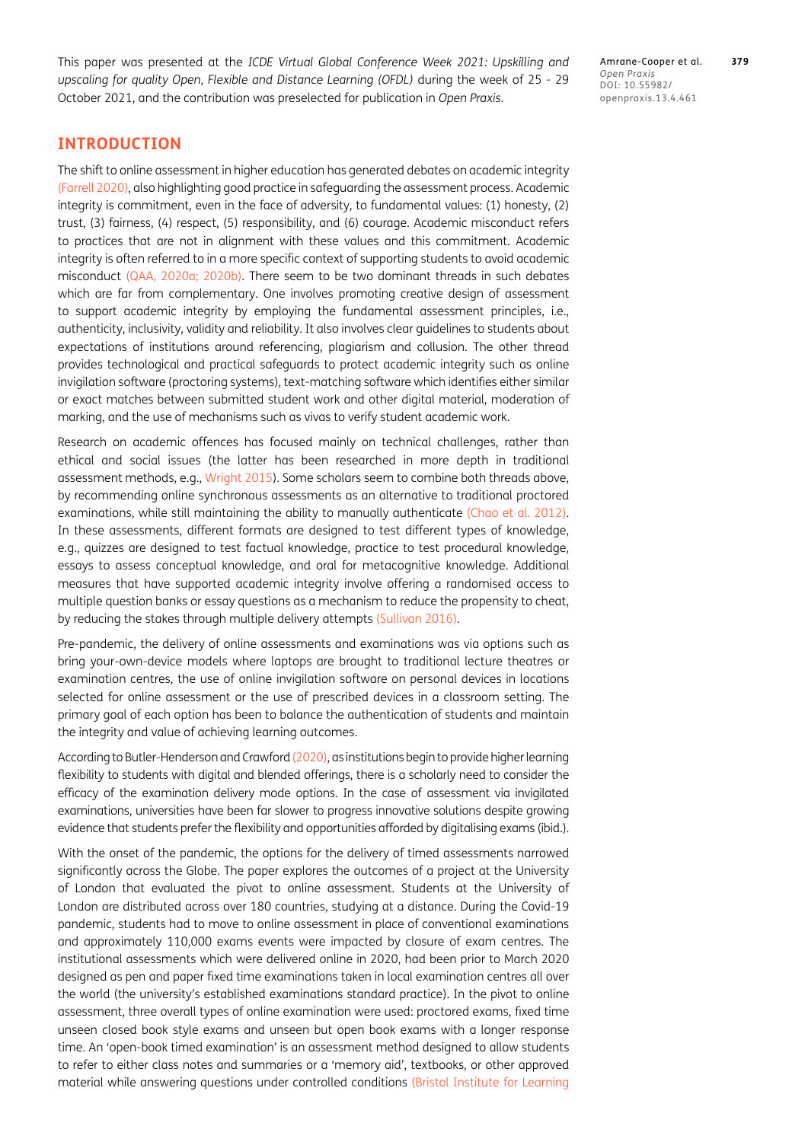This paper was presented at the *ICDE Virtual Global Conference Week 2021: Upskilling and upscaling for quality Open, Flexible and Distance Learning (OFDL)* during the week of 25 - 29 October 2021, and the contribution was preselected for publication in *Open Praxis*.

Amrane-Cooper et al. **379** *Open Praxis* DOI: 10.55982/ openpraxis.13.4.461

# **INTRODUCTION**

The shift to online assessment in higher education has generated debates on academic integrity [\(Farrell 2020\)](#page-6-1), also highlighting good practice in safeguarding the assessment process. Academic integrity is commitment, even in the face of adversity, to fundamental values: (1) honesty, (2) trust, (3) fairness, (4) respect, (5) responsibility, and (6) courage. Academic misconduct refers to practices that are not in alignment with these values and this commitment. Academic integrity is often referred to in a more specific context of supporting students to avoid academic misconduct ([QAA, 2020a](#page-6-2); [2020b](#page-6-3)). There seem to be two dominant threads in such debates which are far from complementary. One involves promoting creative design of assessment to support academic integrity by employing the fundamental assessment principles, i.e., authenticity, inclusivity, validity and reliability. It also involves clear guidelines to students about expectations of institutions around referencing, plagiarism and collusion. The other thread provides technological and practical safeguards to protect academic integrity such as online invigilation software (proctoring systems), text-matching software which identifies either similar or exact matches between submitted student work and other digital material, moderation of marking, and the use of mechanisms such as vivas to verify student academic work.

Research on academic offences has focused mainly on technical challenges, rather than ethical and social issues (the latter has been researched in more depth in traditional assessment methods, e.g., [Wright 2015](#page-6-4)). Some scholars seem to combine both threads above, by recommending online synchronous assessments as an alternative to traditional proctored examinations, while still maintaining the ability to manually authenticate ([Chao et al. 2012](#page-6-5)). In these assessments, different formats are designed to test different types of knowledge, e.g., quizzes are designed to test factual knowledge, practice to test procedural knowledge, essays to assess conceptual knowledge, and oral for metacognitive knowledge. Additional measures that have supported academic integrity involve offering a randomised access to multiple question banks or essay questions as a mechanism to reduce the propensity to cheat, by reducing the stakes through multiple delivery attempts [\(Sullivan 2016\)](#page-6-6).

Pre-pandemic, the delivery of online assessments and examinations was via options such as bring your-own-device models where laptops are brought to traditional lecture theatres or examination centres, the use of online invigilation software on personal devices in locations selected for online assessment or the use of prescribed devices in a classroom setting. The primary goal of each option has been to balance the authentication of students and maintain the integrity and value of achieving learning outcomes.

According to [Butler-Henderson and Crawford \(2020\)](#page-6-7), as institutions begin to provide higher learning flexibility to students with digital and blended offerings, there is a scholarly need to consider the efficacy of the examination delivery mode options. In the case of assessment via invigilated examinations, universities have been far slower to progress innovative solutions despite growing evidence that students prefer the flexibility and opportunities afforded by digitalising exams (ibid.).

With the onset of the pandemic, the options for the delivery of timed assessments narrowed significantly across the Globe. The paper explores the outcomes of a project at the University of London that evaluated the pivot to online assessment. Students at the University of London are distributed across over 180 countries, studying at a distance. During the Covid-19 pandemic, students had to move to online assessment in place of conventional examinations and approximately 110,000 exams events were impacted by closure of exam centres. The institutional assessments which were delivered online in 2020, had been prior to March 2020 designed as pen and paper fixed time examinations taken in local examination centres all over the world (the university's established examinations standard practice). In the pivot to online assessment, three overall types of online examination were used: proctored exams, fixed time unseen closed book style exams and unseen but open book exams with a longer response time. An 'open-book timed examination' is an assessment method designed to allow students to refer to either class notes and summaries or a 'memory aid', textbooks, or other approved material while answering questions under controlled conditions [\(Bristol Institute for Learning](#page-6-8)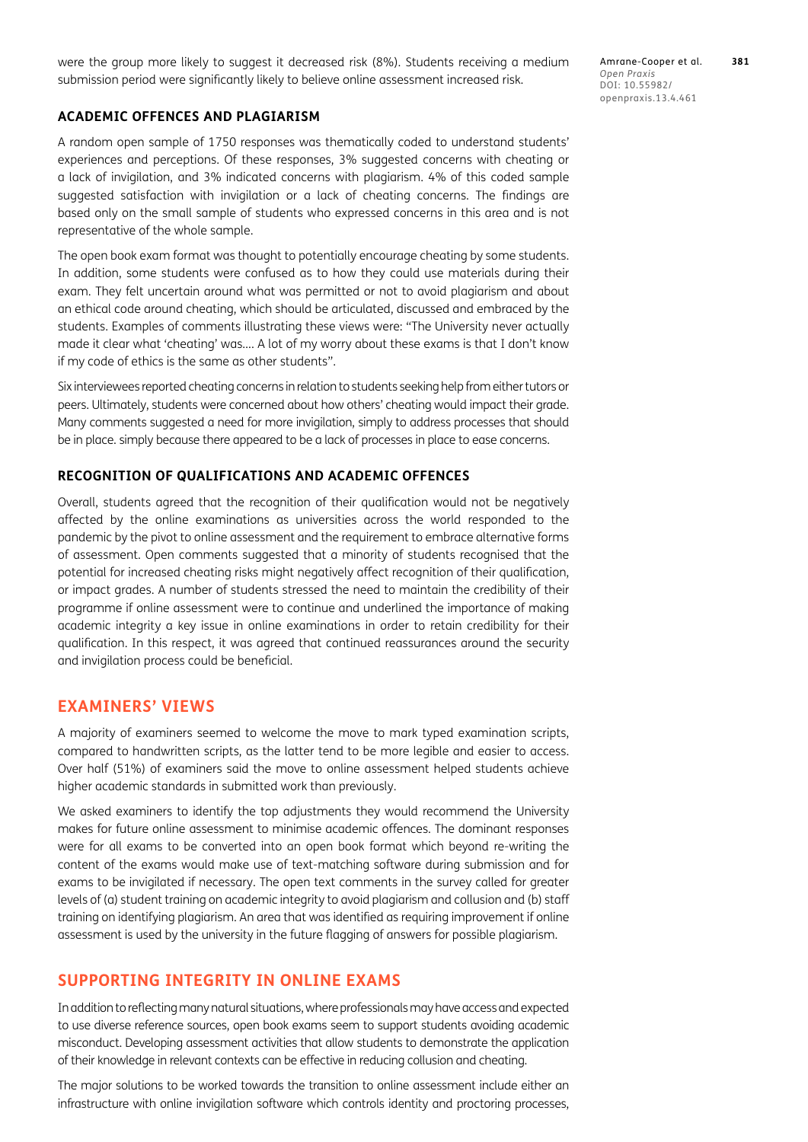were the group more likely to suggest it decreased risk (8%). Students receiving a medium submission period were significantly likely to believe online assessment increased risk.

### **ACADEMIC OFFENCES AND PLAGIARISM**

A random open sample of 1750 responses was thematically coded to understand students' experiences and perceptions. Of these responses, 3% suggested concerns with cheating or a lack of invigilation, and 3% indicated concerns with plagiarism. 4% of this coded sample suggested satisfaction with invigilation or a lack of cheating concerns. The findings are based only on the small sample of students who expressed concerns in this area and is not representative of the whole sample.

The open book exam format was thought to potentially encourage cheating by some students. In addition, some students were confused as to how they could use materials during their exam. They felt uncertain around what was permitted or not to avoid plagiarism and about an ethical code around cheating, which should be articulated, discussed and embraced by the students. Examples of comments illustrating these views were: "The University never actually made it clear what 'cheating' was…. A lot of my worry about these exams is that I don't know if my code of ethics is the same as other students".

Six interviewees reported cheating concerns in relation to students seeking help from either tutors or peers. Ultimately, students were concerned about how others' cheating would impact their grade. Many comments suggested a need for more invigilation, simply to address processes that should be in place. simply because there appeared to be a lack of processes in place to ease concerns.

## **RECOGNITION OF QUALIFICATIONS AND ACADEMIC OFFENCES**

Overall, students agreed that the recognition of their qualification would not be negatively affected by the online examinations as universities across the world responded to the pandemic by the pivot to online assessment and the requirement to embrace alternative forms of assessment. Open comments suggested that a minority of students recognised that the potential for increased cheating risks might negatively affect recognition of their qualification, or impact grades. A number of students stressed the need to maintain the credibility of their programme if online assessment were to continue and underlined the importance of making academic integrity a key issue in online examinations in order to retain credibility for their qualification. In this respect, it was agreed that continued reassurances around the security and invigilation process could be beneficial.

## **EXAMINERS' VIEWS**

A majority of examiners seemed to welcome the move to mark typed examination scripts, compared to handwritten scripts, as the latter tend to be more legible and easier to access. Over half (51%) of examiners said the move to online assessment helped students achieve higher academic standards in submitted work than previously.

We asked examiners to identify the top adjustments they would recommend the University makes for future online assessment to minimise academic offences. The dominant responses were for all exams to be converted into an open book format which beyond re-writing the content of the exams would make use of text-matching software during submission and for exams to be invigilated if necessary. The open text comments in the survey called for greater levels of (a) student training on academic integrity to avoid plagiarism and collusion and (b) staff training on identifying plagiarism. An area that was identified as requiring improvement if online assessment is used by the university in the future flagging of answers for possible plagiarism.

## **SUPPORTING INTEGRITY IN ONLINE EXAMS**

In addition to reflecting many natural situations, where professionals may have access and expected to use diverse reference sources, open book exams seem to support students avoiding academic misconduct. Developing assessment activities that allow students to demonstrate the application of their knowledge in relevant contexts can be effective in reducing collusion and cheating.

The major solutions to be worked towards the transition to online assessment include either an infrastructure with online invigilation software which controls identity and proctoring processes,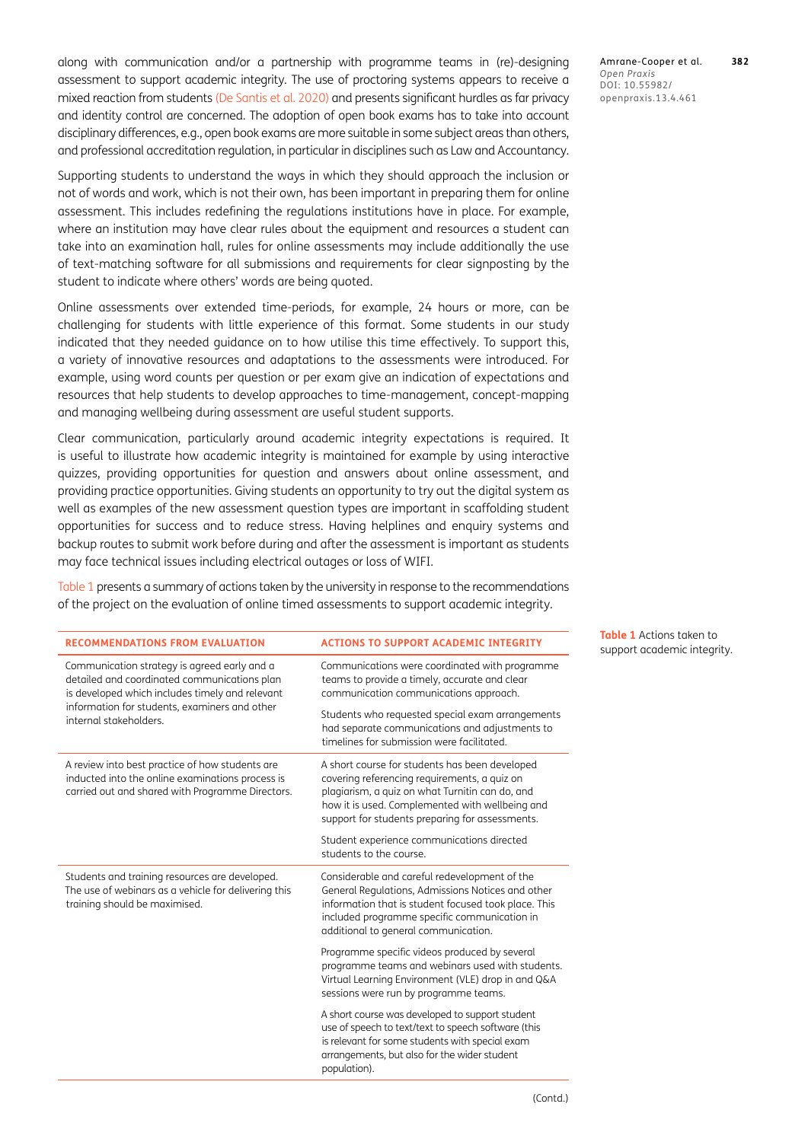along with communication and/or a partnership with programme teams in (re)-designing assessment to support academic integrity. The use of proctoring systems appears to receive a mixed reaction from students [\(De Santis et al. 2020\)](#page-6-9) and presents significant hurdles as far privacy and identity control are concerned. The adoption of open book exams has to take into account disciplinary differences, e.g., open book exams are more suitable in some subject areas than others, and professional accreditation regulation, in particular in disciplines such as Law and Accountancy.

Supporting students to understand the ways in which they should approach the inclusion or not of words and work, which is not their own, has been important in preparing them for online assessment. This includes redefining the regulations institutions have in place. For example, where an institution may have clear rules about the equipment and resources a student can take into an examination hall, rules for online assessments may include additionally the use of text-matching software for all submissions and requirements for clear signposting by the student to indicate where others' words are being quoted.

Online assessments over extended time-periods, for example, 24 hours or more, can be challenging for students with little experience of this format. Some students in our study indicated that they needed guidance on to how utilise this time effectively. To support this, a variety of innovative resources and adaptations to the assessments were introduced. For example, using word counts per question or per exam give an indication of expectations and resources that help students to develop approaches to time-management, concept-mapping and managing wellbeing during assessment are useful student supports.

Clear communication, particularly around academic integrity expectations is required. It is useful to illustrate how academic integrity is maintained for example by using interactive quizzes, providing opportunities for question and answers about online assessment, and providing practice opportunities. Giving students an opportunity to try out the digital system as well as examples of the new assessment question types are important in scaffolding student opportunities for success and to reduce stress. Having helplines and enquiry systems and backup routes to submit work before during and after the assessment is important as students may face technical issues including electrical outages or loss of WIFI.

[Table 1](#page-4-0) presents a summary of actions taken by the university in response to the recommendations of the project on the evaluation of online timed assessments to support academic integrity.

<span id="page-4-0"></span>

| <b>RECOMMENDATIONS FROM EVALUATION</b>                                                                                                                                                                                     | <b>ACTIONS TO SUPPORT ACADEMIC INTEGRITY</b>                                                                                                                                                                                                            | <b>Table 1</b> Actions taken to<br>support academic integrity. |
|----------------------------------------------------------------------------------------------------------------------------------------------------------------------------------------------------------------------------|---------------------------------------------------------------------------------------------------------------------------------------------------------------------------------------------------------------------------------------------------------|----------------------------------------------------------------|
| Communication strategy is agreed early and a<br>detailed and coordinated communications plan<br>is developed which includes timely and relevant<br>information for students, examiners and other<br>internal stakeholders. | Communications were coordinated with programme<br>teams to provide a timely, accurate and clear<br>communication communications approach.                                                                                                               |                                                                |
|                                                                                                                                                                                                                            | Students who requested special exam arrangements<br>had separate communications and adjustments to<br>timelines for submission were facilitated.                                                                                                        |                                                                |
| A review into best practice of how students are<br>inducted into the online examinations process is<br>carried out and shared with Programme Directors.                                                                    | A short course for students has been developed<br>covering referencing requirements, a quiz on<br>plagiarism, a quiz on what Turnitin can do, and<br>how it is used. Complemented with wellbeing and<br>support for students preparing for assessments. |                                                                |
|                                                                                                                                                                                                                            | Student experience communications directed<br>students to the course.                                                                                                                                                                                   |                                                                |
| Students and training resources are developed.<br>The use of webinars as a vehicle for delivering this<br>training should be maximised.                                                                                    | Considerable and careful redevelopment of the<br>General Regulations, Admissions Notices and other<br>information that is student focused took place. This<br>included programme specific communication in<br>additional to general communication.      |                                                                |
|                                                                                                                                                                                                                            | Programme specific videos produced by several<br>programme teams and webinars used with students.<br>Virtual Learning Environment (VLE) drop in and Q&A<br>sessions were run by programme teams.                                                        |                                                                |
|                                                                                                                                                                                                                            | A short course was developed to support student<br>use of speech to text/text to speech software (this<br>is relevant for some students with special exam<br>arrangements, but also for the wider student<br>population).                               |                                                                |

Amrane-Cooper et al. **382** *Open Praxis* DOI: 10.55982/ openpraxis.13.4.461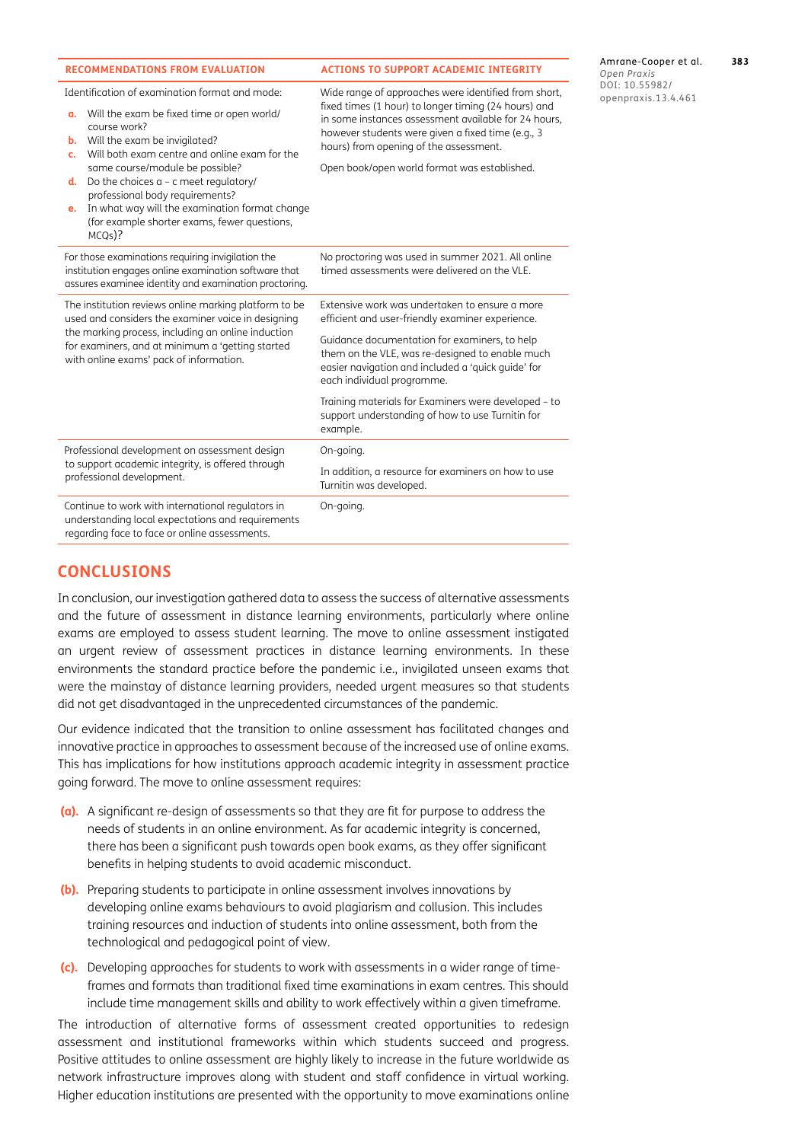| <b>RECOMMENDATIONS FROM EVALUATION</b>                                                                                                                                                                                                                                                                                                                                                                                                                   | <b>ACTIONS TO SUPPORT ACADEMIC INTEGRITY</b>                                                                                                                                                                                                                                                                                                                                                                       |  |
|----------------------------------------------------------------------------------------------------------------------------------------------------------------------------------------------------------------------------------------------------------------------------------------------------------------------------------------------------------------------------------------------------------------------------------------------------------|--------------------------------------------------------------------------------------------------------------------------------------------------------------------------------------------------------------------------------------------------------------------------------------------------------------------------------------------------------------------------------------------------------------------|--|
| Identification of examination format and mode:<br>a. Will the exam be fixed time or open world/<br>course work?<br>Will the exam be invigilated?<br>b.<br>Will both exam centre and online exam for the<br>c.<br>same course/module be possible?<br>Do the choices $a - c$ meet regulatory/<br>d.<br>professional body requirements?<br>In what way will the examination format change<br>e.<br>(for example shorter exams, fewer questions,<br>$MCQS$ ? | Wide range of approaches were identified from short,<br>fixed times (1 hour) to longer timing (24 hours) and<br>in some instances assessment available for 24 hours,<br>however students were given a fixed time (e.g., 3<br>hours) from opening of the assessment.<br>Open book/open world format was established.                                                                                                |  |
| For those examinations requiring invigilation the<br>institution engages online examination software that<br>assures examinee identity and examination proctoring.                                                                                                                                                                                                                                                                                       | No proctoring was used in summer 2021. All online<br>timed assessments were delivered on the VLE.                                                                                                                                                                                                                                                                                                                  |  |
| The institution reviews online marking platform to be<br>used and considers the examiner voice in designing<br>the marking process, including an online induction<br>for examiners, and at minimum a 'getting started<br>with online exams' pack of information.                                                                                                                                                                                         | Extensive work was undertaken to ensure a more<br>efficient and user-friendly examiner experience.<br>Guidance documentation for examiners, to help<br>them on the VLE, was re-designed to enable much<br>easier navigation and included a 'quick guide' for<br>each individual programme.<br>Training materials for Examiners were developed - to<br>support understanding of how to use Turnitin for<br>example. |  |
| Professional development on assessment design<br>to support academic integrity, is offered through<br>professional development.                                                                                                                                                                                                                                                                                                                          | On-going.<br>In addition, a resource for examiners on how to use<br>Turnitin was developed.                                                                                                                                                                                                                                                                                                                        |  |
| Continue to work with international regulators in<br>understanding local expectations and requirements<br>regarding face to face or online assessments.                                                                                                                                                                                                                                                                                                  | On-going.                                                                                                                                                                                                                                                                                                                                                                                                          |  |

Amrane-Cooper et al. **383** *Open Praxis* DOI: 10.55982/ penpraxis.13.4.461

## **CONCLUSIONS**

In conclusion, our investigation gathered data to assess the success of alternative assessments and the future of assessment in distance learning environments, particularly where online exams are employed to assess student learning. The move to online assessment instigated an urgent review of assessment practices in distance learning environments. In these environments the standard practice before the pandemic i.e., invigilated unseen exams that were the mainstay of distance learning providers, needed urgent measures so that students did not get disadvantaged in the unprecedented circumstances of the pandemic.

Our evidence indicated that the transition to online assessment has facilitated changes and innovative practice in approaches to assessment because of the increased use of online exams. This has implications for how institutions approach academic integrity in assessment practice going forward. The move to online assessment requires:

- **(a).** A significant re-design of assessments so that they are fit for purpose to address the needs of students in an online environment. As far academic integrity is concerned, there has been a significant push towards open book exams, as they offer significant benefits in helping students to avoid academic misconduct.
- **(b).** Preparing students to participate in online assessment involves innovations by developing online exams behaviours to avoid plagiarism and collusion. This includes training resources and induction of students into online assessment, both from the technological and pedagogical point of view.
- **(c).** Developing approaches for students to work with assessments in a wider range of timeframes and formats than traditional fixed time examinations in exam centres. This should include time management skills and ability to work effectively within a given timeframe.

The introduction of alternative forms of assessment created opportunities to redesign assessment and institutional frameworks within which students succeed and progress. Positive attitudes to online assessment are highly likely to increase in the future worldwide as network infrastructure improves along with student and staff confidence in virtual working. Higher education institutions are presented with the opportunity to move examinations online